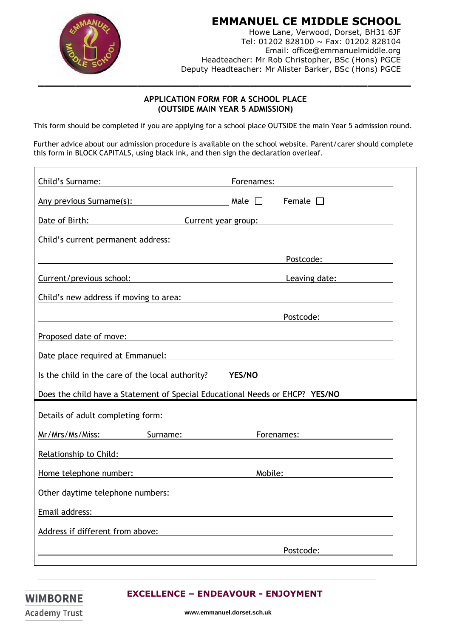

Email: office@emmanuelmiddle.org Headteacher: Mr Rob Christopher, BSc (Hons) PGCE Deputy Headteacher: Mr Alister Barker, BSc (Hons) PGCE

## **APPLICATION FORM FOR A SCHOOL PLACE (OUTSIDE MAIN YEAR 5 ADMISSION)**

This form should be completed if you are applying for a school place OUTSIDE the main Year 5 admission round.

Further advice about our admission procedure is available on the school website. Parent/carer should complete this form in BLOCK CAPITALS, using black ink, and then sign the declaration overleaf.

| Child's Surname:                                                                                                                                                | Forenames:                  |
|-----------------------------------------------------------------------------------------------------------------------------------------------------------------|-----------------------------|
| Any previous Surname(s): $\qquad \qquad$ Male $\Box$                                                                                                            | Female $\square$            |
| Date of Birth:<br>Current year group:                                                                                                                           |                             |
| Child's current permanent address:                                                                                                                              |                             |
|                                                                                                                                                                 | Postcode: <u>__________</u> |
|                                                                                                                                                                 | Leaving date: Management    |
| Child's new address if moving to area:<br><u> 1989 - Johann Stoff, deutscher Stoffen und der Stoffen und der Stoffen und der Stoffen und der Stoffen und de</u> |                             |
|                                                                                                                                                                 | Postcode:                   |
| Proposed date of move:                                                                                                                                          |                             |
| Date place required at Emmanuel:                                                                                                                                |                             |
| Is the child in the care of the local authority?                                                                                                                | <b>YES/NO</b>               |
| Does the child have a Statement of Special Educational Needs or EHCP? YES/NO                                                                                    |                             |
| Details of adult completing form:                                                                                                                               |                             |
| Mr/Mrs/Ms/Miss:<br>Surname:                                                                                                                                     | Forenames:                  |
| Relationship to Child:                                                                                                                                          |                             |
| Home telephone number:                                                                                                                                          | Mobile:                     |
| Other daytime telephone numbers:                                                                                                                                |                             |
| Email address:                                                                                                                                                  |                             |
| Address if different from above:                                                                                                                                |                             |
|                                                                                                                                                                 | Postcode:                   |
|                                                                                                                                                                 |                             |

## **EXCELLENCE – ENDEAVOUR - ENJOYMENT**

\_\_\_\_\_\_\_\_\_\_\_\_\_\_\_\_\_\_\_\_\_\_\_\_\_\_\_\_\_\_\_\_\_\_\_\_\_\_\_\_\_\_\_\_\_\_\_\_\_\_\_\_\_\_\_\_\_\_\_\_\_\_\_\_\_\_\_\_\_\_\_\_\_\_\_\_\_\_\_\_\_\_\_\_\_\_\_\_\_\_\_\_\_\_\_\_\_\_\_\_\_\_\_\_\_\_\_\_\_\_\_